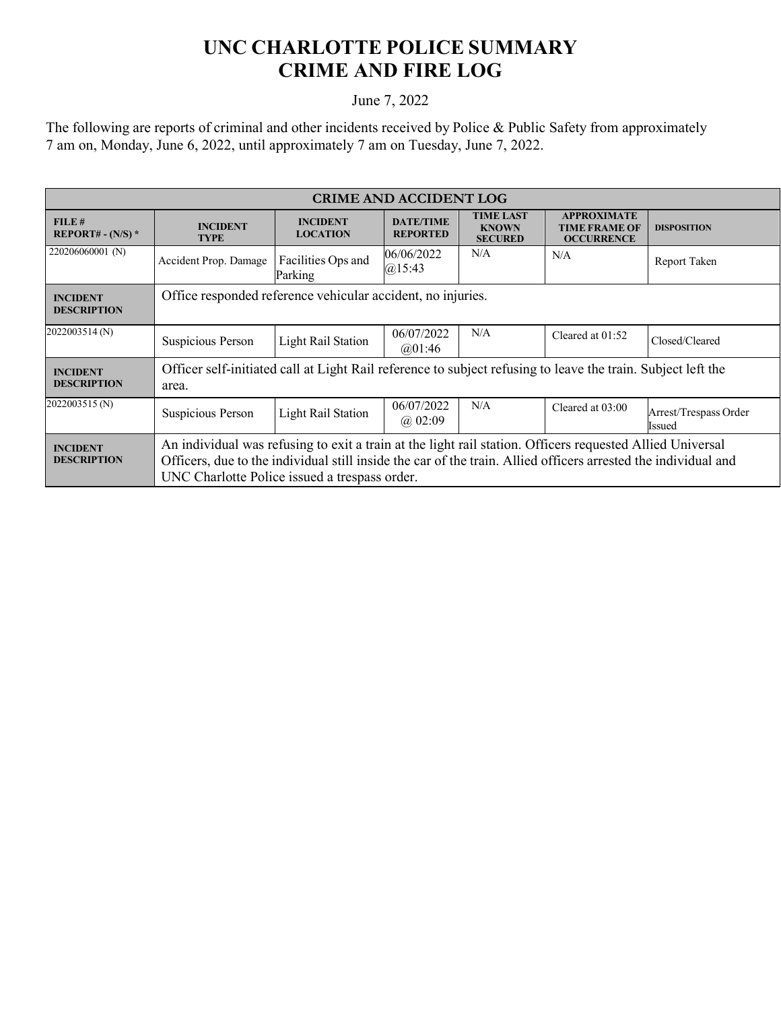## **UNC CHARLOTTE POLICE SUMMARY CRIME AND FIRE LOG**

## June 7, 2022

The following are reports of criminal and other incidents received by Police & Public Safety from approximately 7 am on, Monday, June 6, 2022, until approximately 7 am on Tuesday, June 7, 2022.

| <b>CRIME AND ACCIDENT LOG</b>         |                                                                                                                                                                                                                                                                              |                                    |                                     |                                                    |                                                                 |                                 |  |
|---------------------------------------|------------------------------------------------------------------------------------------------------------------------------------------------------------------------------------------------------------------------------------------------------------------------------|------------------------------------|-------------------------------------|----------------------------------------------------|-----------------------------------------------------------------|---------------------------------|--|
| FILE#<br>REPORT# - $(N/S)$ *          | <b>INCIDENT</b><br><b>TYPE</b>                                                                                                                                                                                                                                               | <b>INCIDENT</b><br><b>LOCATION</b> | <b>DATE/TIME</b><br><b>REPORTED</b> | <b>TIME LAST</b><br><b>KNOWN</b><br><b>SECURED</b> | <b>APPROXIMATE</b><br><b>TIME FRAME OF</b><br><b>OCCURRENCE</b> | <b>DISPOSITION</b>              |  |
| 220206060001 (N)                      | Accident Prop. Damage                                                                                                                                                                                                                                                        | Facilities Ops and<br>Parking      | 06/06/2022<br>$(a)$ 15:43           | N/A                                                | N/A                                                             | Report Taken                    |  |
| <b>INCIDENT</b><br><b>DESCRIPTION</b> | Office responded reference vehicular accident, no injuries.                                                                                                                                                                                                                  |                                    |                                     |                                                    |                                                                 |                                 |  |
| 2022003514 (N)                        | Suspicious Person                                                                                                                                                                                                                                                            | <b>Light Rail Station</b>          | 06/07/2022<br>@01:46                | N/A                                                | Cleared at 01:52                                                | Closed/Cleared                  |  |
| <b>INCIDENT</b><br><b>DESCRIPTION</b> | Officer self-initiated call at Light Rail reference to subject refusing to leave the train. Subject left the<br>area.                                                                                                                                                        |                                    |                                     |                                                    |                                                                 |                                 |  |
| 2022003515 (N)                        | Suspicious Person                                                                                                                                                                                                                                                            | <b>Light Rail Station</b>          | 06/07/2022<br>$(a)$ 02:09           | N/A                                                | Cleared at 03:00                                                | Arrest/Trespass Order<br>Issued |  |
| <b>INCIDENT</b><br><b>DESCRIPTION</b> | An individual was refusing to exit a train at the light rail station. Officers requested Allied Universal<br>Officers, due to the individual still inside the car of the train. Allied officers arrested the individual and<br>UNC Charlotte Police issued a trespass order. |                                    |                                     |                                                    |                                                                 |                                 |  |